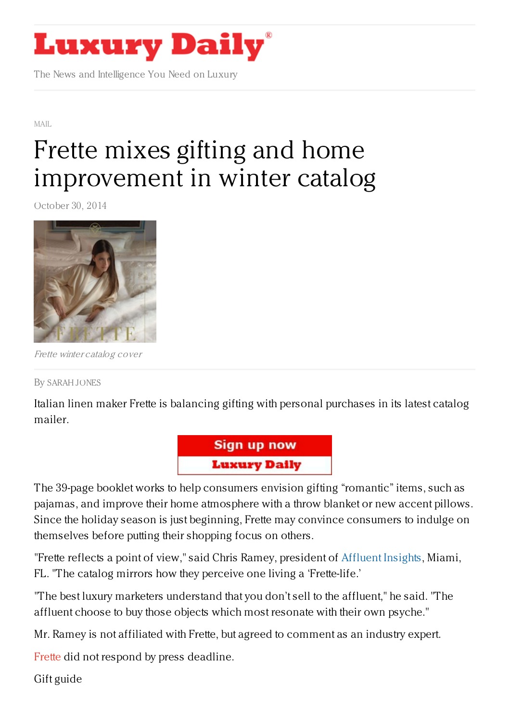## **Luxury Daily**

The News and Intelligence You Need on Luxury

[MAIL](https://www.luxurydaily.com/category/news/mail/)

## Frette mixes gifting and home [improvement](https://www.luxurydaily.com/frette-mixes-gifting-and-home-improvement-in-fall-catalog/) in winter catalog

October 30, 2014



Frette winter catalog cover

By [SARAH](/author/sarah-jones) JONES

Italian linen maker Frette is balancing gifting with personal purchases in its latest catalog mailer.



The 39-page booklet works to help consumers envision gifting "romantic" items, such as pajamas, and improve their home atmosphere with a throw blanket or new accent pillows. Since the holiday season is just beginning, Frette may convince consumers to indulge on themselves before putting their shopping focus on others.

"Frette reflects a point of view," said Chris Ramey, president of [Affluent](http://www.affluentinsights.com/%E2%80%8E) Insights, Miami, FL. "The catalog mirrors how they perceive one living a 'Frette-life.'

"The best luxury marketers understand that you don't sell to the affluent," he said. "The affluent choose to buy those objects which most resonate with their own psyche."

Mr. Ramey is not affiliated with Frette, but agreed to comment as an industry expert.

[Frette](http://frette.com) did not respond by press deadline.

Gift guide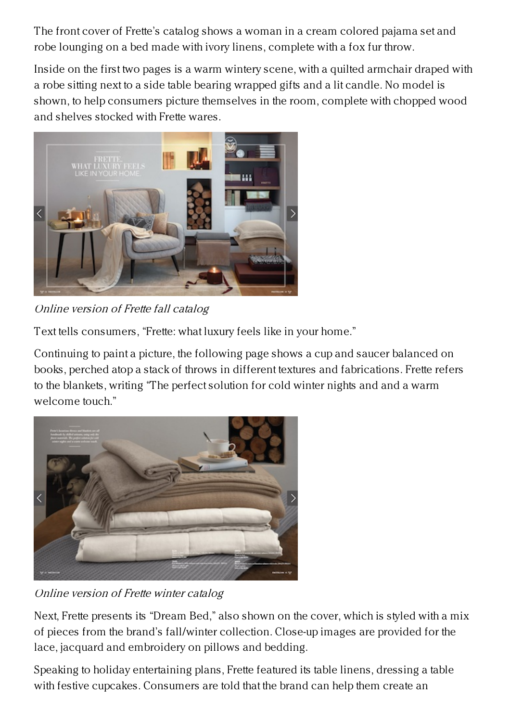The front cover of Frette's catalog shows a woman in a cream colored pajama set and robe lounging on a bed made with ivory linens, complete with a fox fur throw.

Inside on the first two pages is a warm wintery scene, with a quilted armchair draped with a robe sitting next to a side table bearing wrapped gifts and a lit candle. No model is shown, to help consumers picture themselves in the room, complete with chopped wood and shelves stocked with Frette wares.



Online version of Frette fall catalog

Text tells consumers, "Frette: what luxury feels like in your home."

Continuing to paint a picture, the following page shows a cup and saucer balanced on books, perched atop a stack of throws in different textures and fabrications. Frette refers to the blankets, writing "The perfect solution for cold winter nights and and a warm welcome touch."



Online version of Frette winter catalog

Next, Frette presents its "Dream Bed," also shown on the cover, which is styled with a mix of pieces from the brand's fall/winter collection. Close-up images are provided for the lace, jacquard and embroidery on pillows and bedding.

Speaking to holiday entertaining plans, Frette featured its table linens, dressing a table with festive cupcakes. Consumers are told that the brand can help them create an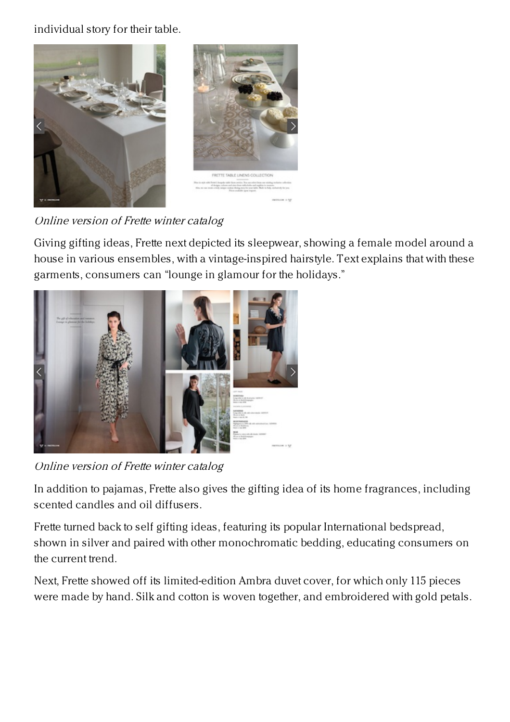individual story for their table.



Online version of Frette winter catalog

Giving gifting ideas, Frette next depicted its sleepwear, showing a female model around a house in various ensembles, with a vintage-inspired hairstyle. Text explains that with these garments, consumers can "lounge in glamour for the holidays."



Online version of Frette winter catalog

In addition to pajamas, Frette also gives the gifting idea of its home fragrances, including scented candles and oil diffusers.

Frette turned back to self gifting ideas, featuring its popular International bedspread, shown in silver and paired with other monochromatic bedding, educating consumers on the current trend.

Next, Frette showed off its limited-edition Ambra duvet cover, for which only 115 pieces were made by hand. Silk and cotton is woven together, and embroidered with gold petals.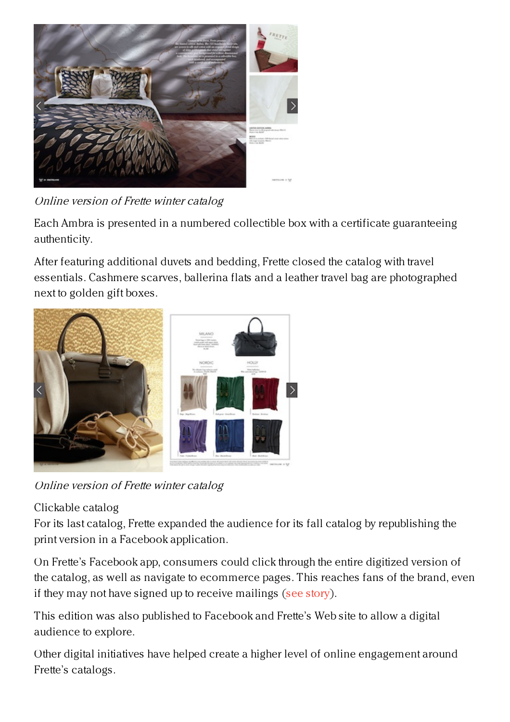

Online version of Frette winter catalog

Each Ambra is presented in a numbered collectible box with a certificate guaranteeing authenticity.

After featuring additional duvets and bedding, Frette closed the catalog with travel essentials. Cashmere scarves, ballerina flats and a leather travel bag are photographed next to golden gift boxes.



Online version of Frette winter catalog

## Clickable catalog

For its last catalog, Frette expanded the audience for its fall catalog by republishing the print version in a Facebook application.

On Frette's Facebook app, consumers could click through the entire digitized version of the catalog, as well as navigate to ecommerce pages. This reaches fans of the brand, even if they may not have signed up to receive mailings (see [story](https://www.luxurydaily.com/frette-finds-consumers-where-they-are-with-facebook-app-catalog/)).

This edition was also published to Facebook and Frette's Web site to allow a digital audience to explore.

Other digital initiatives have helped create a higher level of online engagement around Frette's catalogs.